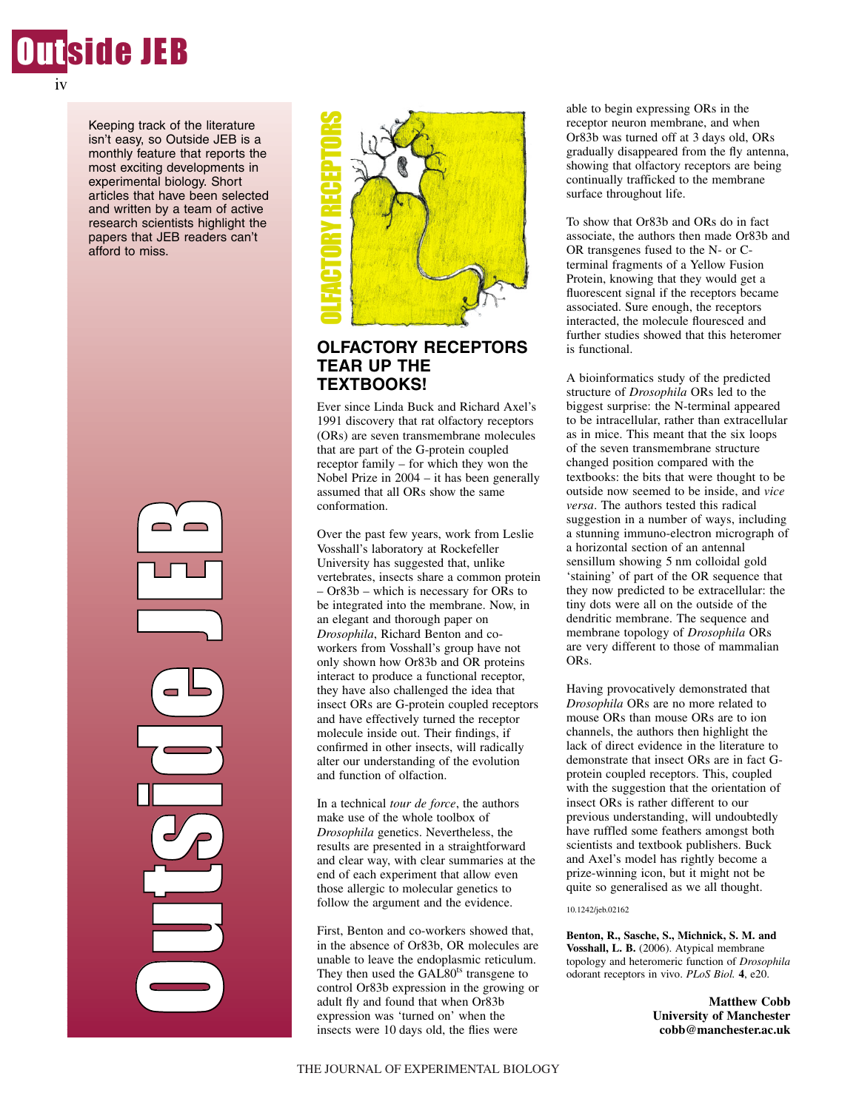

iv

Keeping track of the literature isn't easy, so Outside JEB is a monthly feature that reports the most exciting developments in experimental biology. Short articles that have been selected and written by a team of active research scientists highlight the papers that JEB readers can't afford to miss.





#### **OLFACTORY RECEPTORS TEAR UP THE TEXTBOOKS!**

Ever since Linda Buck and Richard Axel's 1991 discovery that rat olfactory receptors (ORs) are seven transmembrane molecules that are part of the G-protein coupled receptor family – for which they won the Nobel Prize in 2004 – it has been generally assumed that all ORs show the same conformation.

Over the past few years, work from Leslie Vosshall's laboratory at Rockefeller University has suggested that, unlike vertebrates, insects share a common protein – Or83b – which is necessary for ORs to be integrated into the membrane. Now, in an elegant and thorough paper on *Drosophila*, Richard Benton and coworkers from Vosshall's group have not only shown how Or83b and OR proteins interact to produce a functional receptor, they have also challenged the idea that insect ORs are G-protein coupled receptors and have effectively turned the receptor molecule inside out. Their findings, if confirmed in other insects, will radically alter our understanding of the evolution and function of olfaction.

In a technical *tour de force*, the authors make use of the whole toolbox of *Drosophila* genetics. Nevertheless, the results are presented in a straightforward and clear way, with clear summaries at the end of each experiment that allow even those allergic to molecular genetics to follow the argument and the evidence.

First, Benton and co-workers showed that, in the absence of Or83b, OR molecules are unable to leave the endoplasmic reticulum. They then used the GAL80<sup>ts</sup> transgene to control Or83b expression in the growing or adult fly and found that when Or83b expression was 'turned on' when the insects were 10 days old, the flies were

able to begin expressing ORs in the receptor neuron membrane, and when Or83b was turned off at 3 days old, ORs gradually disappeared from the fly antenna, showing that olfactory receptors are being continually trafficked to the membrane surface throughout life.

To show that Or83b and ORs do in fact associate, the authors then made Or83b and OR transgenes fused to the N- or Cterminal fragments of a Yellow Fusion Protein, knowing that they would get a fluorescent signal if the receptors became associated. Sure enough, the receptors interacted, the molecule flouresced and further studies showed that this heteromer is functional.

A bioinformatics study of the predicted structure of *Drosophila* ORs led to the biggest surprise: the N-terminal appeared to be intracellular, rather than extracellular as in mice. This meant that the six loops of the seven transmembrane structure changed position compared with the textbooks: the bits that were thought to be outside now seemed to be inside, and *vice versa*. The authors tested this radical suggestion in a number of ways, including a stunning immuno-electron micrograph of a horizontal section of an antennal sensillum showing 5 nm colloidal gold 'staining' of part of the OR sequence that they now predicted to be extracellular: the tiny dots were all on the outside of the dendritic membrane. The sequence and membrane topology of *Drosophila* ORs are very different to those of mammalian ORs.

Having provocatively demonstrated that *Drosophila* ORs are no more related to mouse ORs than mouse ORs are to ion channels, the authors then highlight the lack of direct evidence in the literature to demonstrate that insect ORs are in fact Gprotein coupled receptors. This, coupled with the suggestion that the orientation of insect ORs is rather different to our previous understanding, will undoubtedly have ruffled some feathers amongst both scientists and textbook publishers. Buck and Axel's model has rightly become a prize-winning icon, but it might not be quite so generalised as we all thought.

#### 10.1242/jeb.02162

**Benton, R., Sasche, S., Michnick, S. M. and Vosshall, L. B.** (2006). Atypical membrane topology and heteromeric function of *Drosophila* odorant receptors in vivo. *PLoS Biol.* **4**, e20.

> **Matthew Cobb University of Manchester cobb@manchester.ac.uk**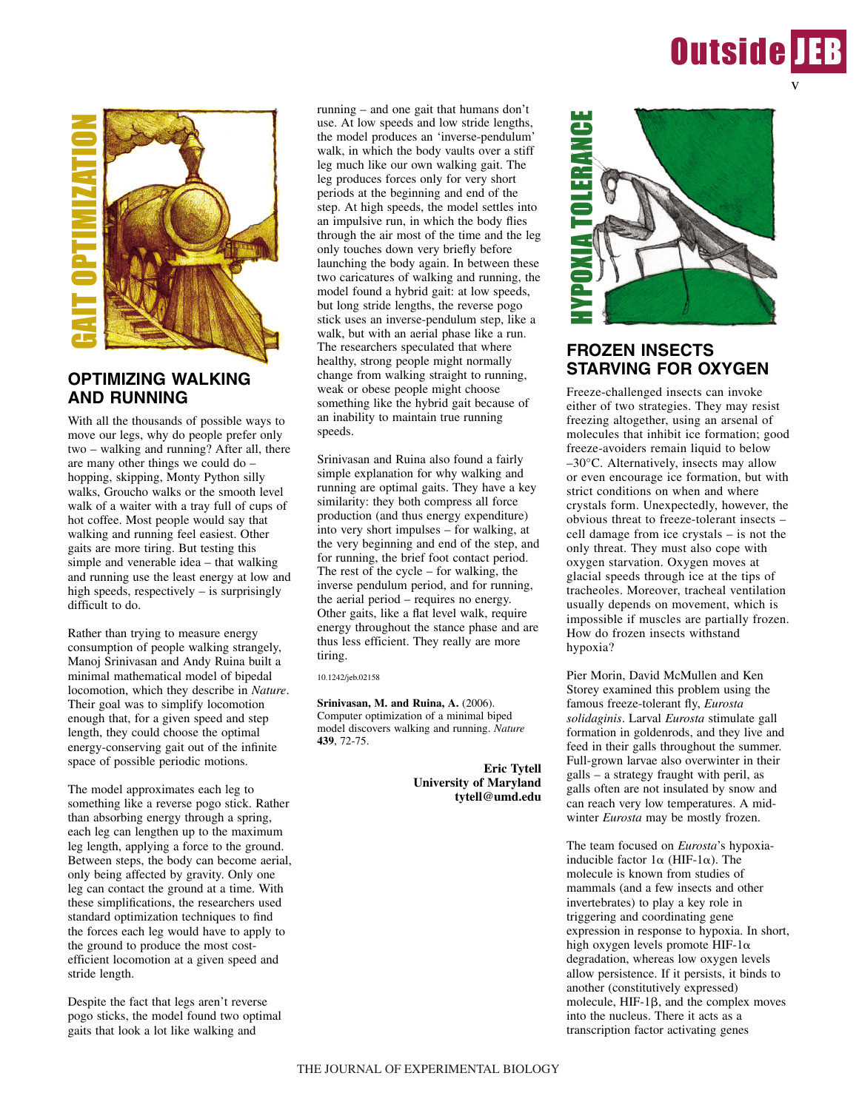



#### **OPTIMIZING WALKING AND RUNNING**

With all the thousands of possible ways to move our legs, why do people prefer only two – walking and running? After all, there are many other things we could do – hopping, skipping, Monty Python silly walks, Groucho walks or the smooth level walk of a waiter with a tray full of cups of hot coffee. Most people would say that walking and running feel easiest. Other gaits are more tiring. But testing this simple and venerable idea – that walking and running use the least energy at low and high speeds, respectively – is surprisingly difficult to do.

Rather than trying to measure energy consumption of people walking strangely, Manoj Srinivasan and Andy Ruina built a minimal mathematical model of bipedal locomotion, which they describe in *Nature*. Their goal was to simplify locomotion enough that, for a given speed and step length, they could choose the optimal energy-conserving gait out of the infinite space of possible periodic motions.

The model approximates each leg to something like a reverse pogo stick. Rather than absorbing energy through a spring, each leg can lengthen up to the maximum leg length, applying a force to the ground. Between steps, the body can become aerial, only being affected by gravity. Only one leg can contact the ground at a time. With these simplifications, the researchers used standard optimization techniques to find the forces each leg would have to apply to the ground to produce the most costefficient locomotion at a given speed and stride length.

Despite the fact that legs aren't reverse pogo sticks, the model found two optimal gaits that look a lot like walking and

running – and one gait that humans don't use. At low speeds and low stride lengths, the model produces an 'inverse-pendulum' walk, in which the body vaults over a stiff leg much like our own walking gait. The leg produces forces only for very short periods at the beginning and end of the step. At high speeds, the model settles into an impulsive run, in which the body flies through the air most of the time and the leg only touches down very briefly before launching the body again. In between these two caricatures of walking and running, the model found a hybrid gait: at low speeds, but long stride lengths, the reverse pogo stick uses an inverse-pendulum step, like a walk, but with an aerial phase like a run. The researchers speculated that where healthy, strong people might normally change from walking straight to running, weak or obese people might choose something like the hybrid gait because of an inability to maintain true running speeds.

Srinivasan and Ruina also found a fairly simple explanation for why walking and running are optimal gaits. They have a key similarity: they both compress all force production (and thus energy expenditure) into very short impulses – for walking, at the very beginning and end of the step, and for running, the brief foot contact period. The rest of the cycle – for walking, the inverse pendulum period, and for running, the aerial period – requires no energy. Other gaits, like a flat level walk, require energy throughout the stance phase and are thus less efficient. They really are more tiring.

10.1242/jeb.02158

**Srinivasan, M. and Ruina, A.** (2006). Computer optimization of a minimal biped model discovers walking and running. *Nature* **439**, 72-75.

> **Eric Tytell University of Maryland tytell@umd.edu**



### **FROZEN INSECTS STARVING FOR OXYGEN**

Freeze-challenged insects can invoke either of two strategies. They may resist freezing altogether, using an arsenal of molecules that inhibit ice formation; good freeze-avoiders remain liquid to below –30°C. Alternatively, insects may allow or even encourage ice formation, but with strict conditions on when and where crystals form. Unexpectedly, however, the obvious threat to freeze-tolerant insects – cell damage from ice crystals – is not the only threat. They must also cope with oxygen starvation. Oxygen moves at glacial speeds through ice at the tips of tracheoles. Moreover, tracheal ventilation usually depends on movement, which is impossible if muscles are partially frozen. How do frozen insects withstand hypoxia?

Pier Morin, David McMullen and Ken Storey examined this problem using the famous freeze-tolerant fly, *Eurosta solidaginis*. Larval *Eurosta* stimulate gall formation in goldenrods, and they live and feed in their galls throughout the summer. Full-grown larvae also overwinter in their galls – a strategy fraught with peril, as galls often are not insulated by snow and can reach very low temperatures. A midwinter *Eurosta* may be mostly frozen.

The team focused on *Eurosta*'s hypoxiainducible factor  $1\alpha$  (HIF-1 $\alpha$ ). The molecule is known from studies of mammals (and a few insects and other invertebrates) to play a key role in triggering and coordinating gene expression in response to hypoxia. In short, high oxygen levels promote HIF-1 $\alpha$ degradation, whereas low oxygen levels allow persistence. If it persists, it binds to another (constitutively expressed) molecule,  $HIF-1\beta$ , and the complex moves into the nucleus. There it acts as a transcription factor activating genes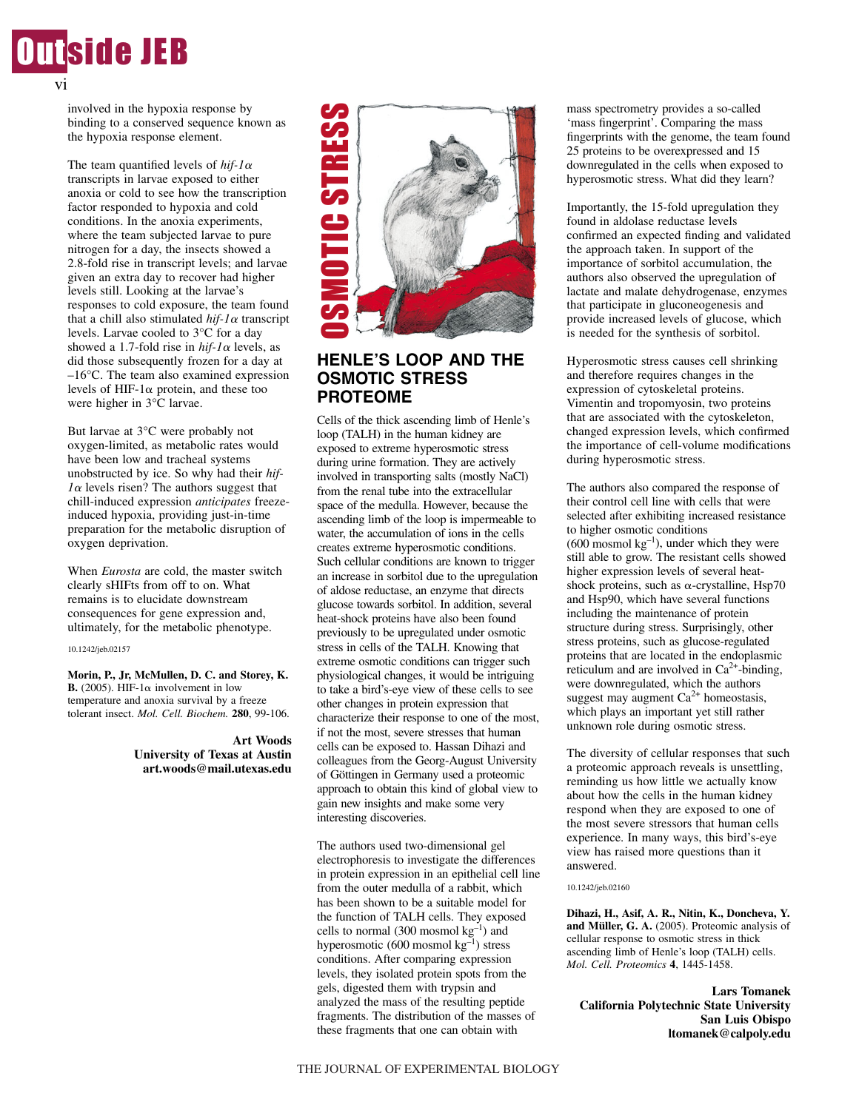Outside JEB

vi

involved in the hypoxia response by binding to a conserved sequence known as the hypoxia response element.

The team quantified levels of  $hif$ - $l\alpha$ transcripts in larvae exposed to either anoxia or cold to see how the transcription factor responded to hypoxia and cold conditions. In the anoxia experiments, where the team subjected larvae to pure nitrogen for a day, the insects showed a 2.8-fold rise in transcript levels; and larvae given an extra day to recover had higher levels still. Looking at the larvae's responses to cold exposure, the team found that a chill also stimulated  $hif$ - $l \alpha$  transcript levels. Larvae cooled to 3°C for a day showed a 1.7-fold rise in  $hif$ - $l\alpha$  levels, as did those subsequently frozen for a day at –16°C. The team also examined expression levels of HIF-1 $\alpha$  protein, and these too were higher in 3°C larvae.

But larvae at 3°C were probably not oxygen-limited, as metabolic rates would have been low and tracheal systems unobstructed by ice. So why had their *hif-* $1\alpha$  levels risen? The authors suggest that chill-induced expression *anticipates* freezeinduced hypoxia, providing just-in-time preparation for the metabolic disruption of oxygen deprivation.

When *Eurosta* are cold, the master switch clearly sHIFts from off to on. What remains is to elucidate downstream consequences for gene expression and, ultimately, for the metabolic phenotype.

10.1242/jeb.02157

**Morin, P., Jr, McMullen, D. C. and Storey, K. B.** (2005). HIF-1 $\alpha$  involvement in low temperature and anoxia survival by a freeze tolerant insect. *Mol. Cell. Biochem.* **280**, 99-106.

> **Art Woods University of Texas at Austin art.woods@mail.utexas.edu**



## **HENLE'S LOOP AND THE OSMOTIC STRESS PROTEOME**

Cells of the thick ascending limb of Henle's loop (TALH) in the human kidney are exposed to extreme hyperosmotic stress during urine formation. They are actively involved in transporting salts (mostly NaCl) from the renal tube into the extracellular space of the medulla. However, because the ascending limb of the loop is impermeable to water, the accumulation of ions in the cells creates extreme hyperosmotic conditions. Such cellular conditions are known to trigger an increase in sorbitol due to the upregulation of aldose reductase, an enzyme that directs glucose towards sorbitol. In addition, several heat-shock proteins have also been found previously to be upregulated under osmotic stress in cells of the TALH. Knowing that extreme osmotic conditions can trigger such physiological changes, it would be intriguing to take a bird's-eye view of these cells to see other changes in protein expression that characterize their response to one of the most, if not the most, severe stresses that human cells can be exposed to. Hassan Dihazi and colleagues from the Georg-August University of Göttingen in Germany used a proteomic approach to obtain this kind of global view to gain new insights and make some very interesting discoveries.

The authors used two-dimensional gel electrophoresis to investigate the differences in protein expression in an epithelial cell line from the outer medulla of a rabbit, which has been shown to be a suitable model for the function of TALH cells. They exposed cells to normal (300 mosmol  $kg^{-1}$ ) and hyperosmotic (600 mosmol  $kg^{-1}$ ) stress conditions. After comparing expression levels, they isolated protein spots from the gels, digested them with trypsin and analyzed the mass of the resulting peptide fragments. The distribution of the masses of these fragments that one can obtain with

mass spectrometry provides a so-called 'mass fingerprint'. Comparing the mass fingerprints with the genome, the team found 25 proteins to be overexpressed and 15 downregulated in the cells when exposed to hyperosmotic stress. What did they learn?

Importantly, the 15-fold upregulation they found in aldolase reductase levels confirmed an expected finding and validated the approach taken. In support of the importance of sorbitol accumulation, the authors also observed the upregulation of lactate and malate dehydrogenase, enzymes that participate in gluconeogenesis and provide increased levels of glucose, which is needed for the synthesis of sorbitol.

Hyperosmotic stress causes cell shrinking and therefore requires changes in the expression of cytoskeletal proteins. Vimentin and tropomyosin, two proteins that are associated with the cytoskeleton, changed expression levels, which confirmed the importance of cell-volume modifications during hyperosmotic stress.

The authors also compared the response of their control cell line with cells that were selected after exhibiting increased resistance to higher osmotic conditions  $(600$  mosmol  $kg^{-1}$ ), under which they were still able to grow. The resistant cells showed higher expression levels of several heatshock proteins, such as  $\alpha$ -crystalline, Hsp70 and Hsp90, which have several functions including the maintenance of protein structure during stress. Surprisingly, other stress proteins, such as glucose-regulated proteins that are located in the endoplasmic reticulum and are involved in  $Ca^{2+}$ -binding, were downregulated, which the authors suggest may augment  $Ca^{2+}$  homeostasis, which plays an important yet still rather unknown role during osmotic stress.

The diversity of cellular responses that such a proteomic approach reveals is unsettling, reminding us how little we actually know about how the cells in the human kidney respond when they are exposed to one of the most severe stressors that human cells experience. In many ways, this bird's-eye view has raised more questions than it answered.

#### 10.1242/jeb.02160

**Dihazi, H., Asif, A. R., Nitin, K., Doncheva, Y. and Müller, G. A.** (2005). Proteomic analysis of cellular response to osmotic stress in thick ascending limb of Henle's loop (TALH) cells. *Mol. Cell. Proteomics* **4**, 1445-1458.

**Lars Tomanek California Polytechnic State University San Luis Obispo ltomanek@calpoly.edu**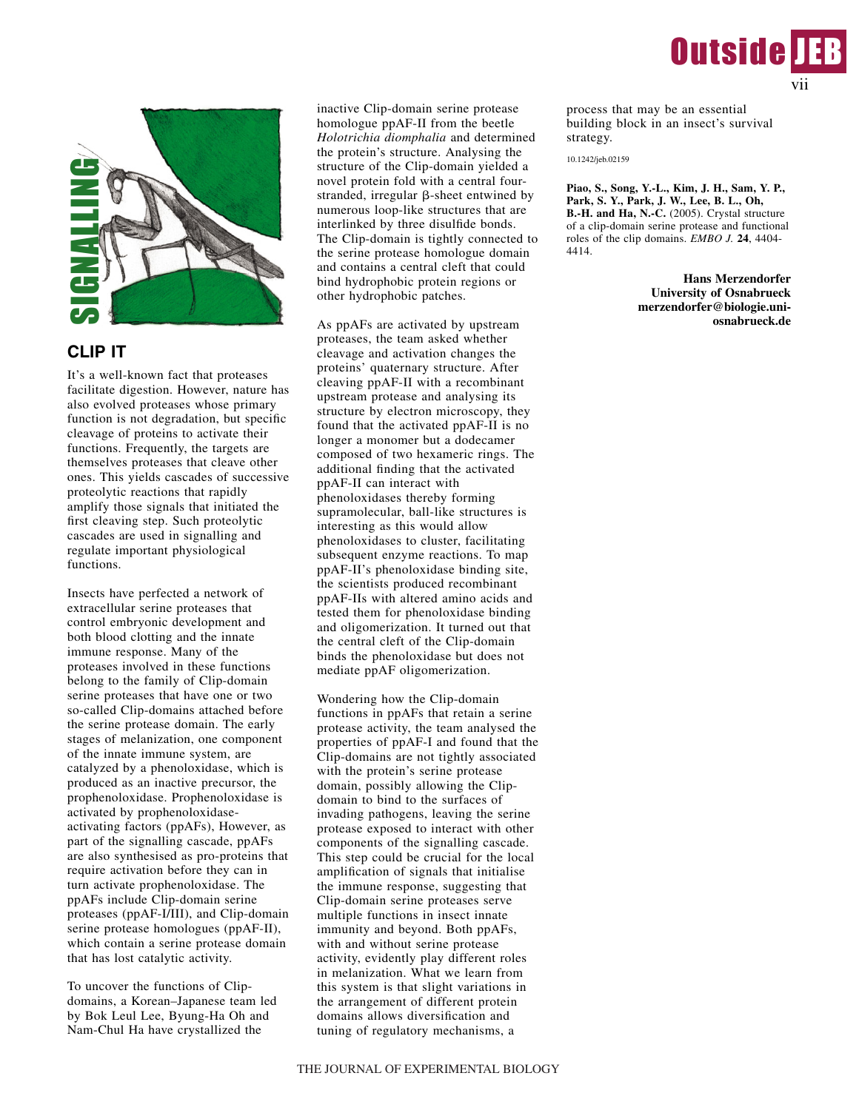



# **CLIP IT**

It's a well-known fact that proteases facilitate digestion. However, nature has also evolved proteases whose primary function is not degradation, but specific cleavage of proteins to activate their functions. Frequently, the targets are themselves proteases that cleave other ones. This yields cascades of successive proteolytic reactions that rapidly amplify those signals that initiated the first cleaving step. Such proteolytic cascades are used in signalling and regulate important physiological functions.

Insects have perfected a network of extracellular serine proteases that control embryonic development and both blood clotting and the innate immune response. Many of the proteases involved in these functions belong to the family of Clip-domain serine proteases that have one or two so-called Clip-domains attached before the serine protease domain. The early stages of melanization, one component of the innate immune system, are catalyzed by a phenoloxidase, which is produced as an inactive precursor, the prophenoloxidase. Prophenoloxidase is activated by prophenoloxidaseactivating factors (ppAFs), However, as part of the signalling cascade, ppAFs are also synthesised as pro-proteins that require activation before they can in turn activate prophenoloxidase. The ppAFs include Clip-domain serine proteases (ppAF-I/III), and Clip-domain serine protease homologues (ppAF-II), which contain a serine protease domain that has lost catalytic activity.

To uncover the functions of Clipdomains, a Korean–Japanese team led by Bok Leul Lee, Byung-Ha Oh and Nam-Chul Ha have crystallized the

inactive Clip-domain serine protease homologue ppAF-II from the beetle *Holotrichia diomphalia* and determined the protein's structure. Analysing the structure of the Clip-domain yielded a novel protein fold with a central fourstranded, irregular  $\beta$ -sheet entwined by numerous loop-like structures that are interlinked by three disulfide bonds. The Clip-domain is tightly connected to the serine protease homologue domain and contains a central cleft that could bind hydrophobic protein regions or other hydrophobic patches.

As ppAFs are activated by upstream proteases, the team asked whether cleavage and activation changes the proteins' quaternary structure. After cleaving ppAF-II with a recombinant upstream protease and analysing its structure by electron microscopy, they found that the activated ppAF-II is no longer a monomer but a dodecamer composed of two hexameric rings. The additional finding that the activated ppAF-II can interact with phenoloxidases thereby forming supramolecular, ball-like structures is interesting as this would allow phenoloxidases to cluster, facilitating subsequent enzyme reactions. To map ppAF-II's phenoloxidase binding site, the scientists produced recombinant ppAF-IIs with altered amino acids and tested them for phenoloxidase binding and oligomerization. It turned out that the central cleft of the Clip-domain binds the phenoloxidase but does not mediate ppAF oligomerization.

Wondering how the Clip-domain functions in ppAFs that retain a serine protease activity, the team analysed the properties of ppAF-I and found that the Clip-domains are not tightly associated with the protein's serine protease domain, possibly allowing the Clipdomain to bind to the surfaces of invading pathogens, leaving the serine protease exposed to interact with other components of the signalling cascade. This step could be crucial for the local amplification of signals that initialise the immune response, suggesting that Clip-domain serine proteases serve multiple functions in insect innate immunity and beyond. Both ppAFs, with and without serine protease activity, evidently play different roles in melanization. What we learn from this system is that slight variations in the arrangement of different protein domains allows diversification and tuning of regulatory mechanisms, a

process that may be an essential building block in an insect's survival strategy.

10.1242/jeb.02159

**Piao, S., Song, Y.-L., Kim, J. H., Sam, Y. P., Park, S. Y., Park, J. W., Lee, B. L., Oh, B.-H. and Ha, N.-C.** (2005). Crystal structure of a clip-domain serine protease and functional roles of the clip domains. *EMBO J.* **24**, 4404- 4414.

> **Hans Merzendorfer University of Osnabrueck merzendorfer@biologie.uniosnabrueck.de**